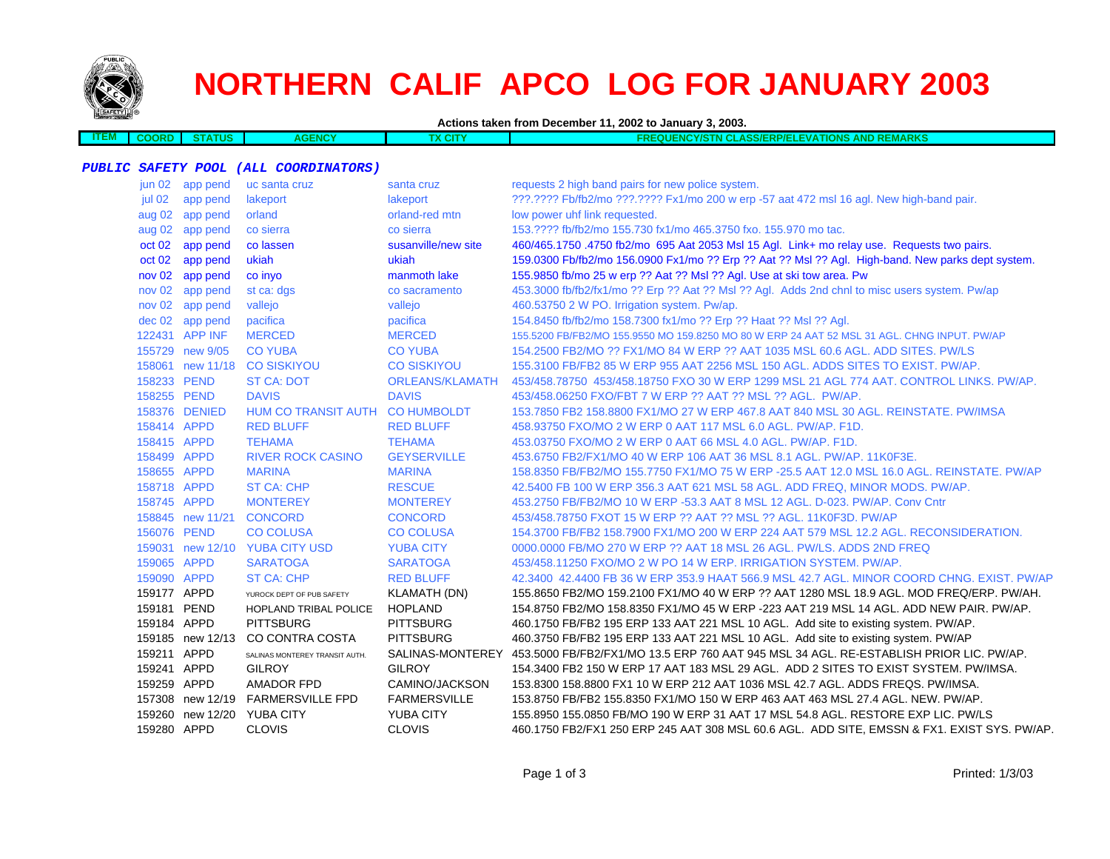

# **NORTHERN CALIF APCO LOG FOR JANUARY 2003**

**Actions taken from December 11, 2002 to January 3, 2003.**

| TEM | . | rus | . | <b>TIONS</b><br><b>REMARKS</b><br>ΞVΔ.<br><b>AW</b><br>"PP/Fh.<br>.<br>AN<br>.<br>. .<br>- 53 |
|-----|---|-----|---|-----------------------------------------------------------------------------------------------|
|     |   |     |   |                                                                                               |

#### **PUBLIC SAFETY POOL (ALL COORDINATORS)**

| jun 02 app pend    | uc santa cruz                   | santa cruz             | requests 2 high band pairs for new police system.                                                 |
|--------------------|---------------------------------|------------------------|---------------------------------------------------------------------------------------------------|
| jul 02<br>app pend | lakeport                        | lakeport               | ???.???? Fb/fb2/mo ???.???? Fx1/mo 200 w erp -57 aat 472 msl 16 agl. New high-band pair.          |
| aug 02 app pend    | orland                          | orland-red mtn         | low power uhf link requested.                                                                     |
| aug 02 app pend    | co sierra                       | co sierra              | 153.???? fb/fb2/mo 155.730 fx1/mo 465.3750 fxo. 155.970 mo tac.                                   |
| oct 02<br>app pend | co lassen                       | susanville/new site    | 460/465.1750 .4750 fb2/mo 695 Aat 2053 Msl 15 Agl. Link+ mo relay use. Requests two pairs.        |
| oct 02 app pend    | ukiah                           | ukiah                  | 159.0300 Fb/fb2/mo 156.0900 Fx1/mo ?? Erp ?? Aat ?? Msl ?? Agl. High-band. New parks dept system. |
| nov 02 app pend    | co inyo                         | manmoth lake           | 155.9850 fb/mo 25 w erp ?? Aat ?? Msl ?? Agl. Use at ski tow area. Pw                             |
| nov 02 app pend    | st ca: dgs                      | co sacramento          | 453.3000 fb/fb2/fx1/mo ?? Erp ?? Aat ?? Msl ?? Agl. Adds 2nd chnl to misc users system. Pw/ap     |
| nov 02 app pend    | vallejo                         | vallejo                | 460.53750 2 W PO. Irrigation system. Pw/ap.                                                       |
| dec 02 app pend    | pacifica                        | pacifica               | 154.8450 fb/fb2/mo 158.7300 fx1/mo ?? Erp ?? Haat ?? Msl ?? Agl.                                  |
| 122431 APP INF     | <b>MERCED</b>                   | <b>MERCED</b>          | 155.5200 FB/FB2/MO 155.9550 MO 159.8250 MO 80 W ERP 24 AAT 52 MSL 31 AGL. CHNG INPUT. PW/AP       |
| 155729 new 9/05    | <b>CO YUBA</b>                  | <b>CO YUBA</b>         | 154,2500 FB2/MO ?? FX1/MO 84 W ERP ?? AAT 1035 MSL 60.6 AGL, ADD SITES, PW/LS                     |
| 158061 new 11/18   | <b>CO SISKIYOU</b>              | <b>CO SISKIYOU</b>     | 155.3100 FB/FB2 85 W ERP 955 AAT 2256 MSL 150 AGL. ADDS SITES TO EXIST. PW/AP.                    |
| 158233 PEND        | <b>ST CA: DOT</b>               | <b>ORLEANS/KLAMATH</b> | 453/458.78750 453/458.18750 FXO 30 W ERP 1299 MSL 21 AGL 774 AAT, CONTROL LINKS, PW/AP,           |
| 158255 PEND        | <b>DAVIS</b>                    | <b>DAVIS</b>           | 453/458.06250 FXO/FBT 7 W ERP ?? AAT ?? MSL ?? AGL. PW/AP.                                        |
| 158376 DENIED      | HUM CO TRANSIT AUTH CO HUMBOLDT |                        | 153.7850 FB2 158.8800 FX1/MO 27 W ERP 467.8 AAT 840 MSL 30 AGL. REINSTATE. PW/IMSA                |
| 158414 APPD        | <b>RED BLUFF</b>                | <b>RED BLUFF</b>       | 458,93750 FXO/MO 2 W ERP 0 AAT 117 MSL 6.0 AGL, PW/AP, F1D.                                       |
| 158415 APPD        | <b>TEHAMA</b>                   | <b>TEHAMA</b>          | 453,03750 FXO/MO 2 W ERP 0 AAT 66 MSL 4.0 AGL, PW/AP, F1D,                                        |
| 158499 APPD        | <b>RIVER ROCK CASINO</b>        | <b>GEYSERVILLE</b>     | 453.6750 FB2/FX1/MO 40 W ERP 106 AAT 36 MSL 8.1 AGL. PW/AP. 11K0F3E.                              |
| 158655 APPD        | <b>MARINA</b>                   | <b>MARINA</b>          | 158.8350 FB/FB2/MO 155.7750 FX1/MO 75 W ERP -25.5 AAT 12.0 MSL 16.0 AGL, REINSTATE, PW/AP         |
| 158718 APPD        | <b>ST CA: CHP</b>               | <b>RESCUE</b>          | 42.5400 FB 100 W ERP 356.3 AAT 621 MSL 58 AGL. ADD FREQ, MINOR MODS. PW/AP.                       |
| 158745 APPD        | <b>MONTEREY</b>                 | <b>MONTEREY</b>        | 453.2750 FB/FB2/MO 10 W ERP -53.3 AAT 8 MSL 12 AGL, D-023, PW/AP, Conv Cntr                       |
| 158845 new 11/21   | <b>CONCORD</b>                  | <b>CONCORD</b>         | 453/458.78750 FXOT 15 W ERP ?? AAT ?? MSL ?? AGL, 11K0F3D, PW/AP                                  |
| 156076 PEND        | <b>CO COLUSA</b>                | <b>CO COLUSA</b>       | 154.3700 FB/FB2 158.7900 FX1/MO 200 W ERP 224 AAT 579 MSL 12.2 AGL. RECONSIDERATION.              |
| 159031 new 12/10   | <b>YUBA CITY USD</b>            | <b>YUBA CITY</b>       | 0000,0000 FB/MO 270 W ERP ?? AAT 18 MSL 26 AGL, PW/LS, ADDS 2ND FREQ                              |
| 159065 APPD        | <b>SARATOGA</b>                 | <b>SARATOGA</b>        | 453/458,11250 FXO/MO 2 W PO 14 W ERP. IRRIGATION SYSTEM, PW/AP.                                   |
| 159090 APPD        | <b>ST CA: CHP</b>               | <b>RED BLUFF</b>       | 42,3400 42,4400 FB 36 W ERP 353.9 HAAT 566.9 MSL 42.7 AGL, MINOR COORD CHNG, EXIST, PW/AP         |
| 159177 APPD        | YUROCK DEPT OF PUB SAFETY       | KLAMATH (DN)           | 155.8650 FB2/MO 159.2100 FX1/MO 40 W ERP ?? AAT 1280 MSL 18.9 AGL. MOD FREQ/ERP. PW/AH.           |
| 159181 PEND        | HOPLAND TRIBAL POLICE           | <b>HOPLAND</b>         | 154.8750 FB2/MO 158.8350 FX1/MO 45 W ERP -223 AAT 219 MSL 14 AGL. ADD NEW PAIR. PW/AP.            |
| 159184 APPD        | <b>PITTSBURG</b>                | <b>PITTSBURG</b>       | 460.1750 FB/FB2 195 ERP 133 AAT 221 MSL 10 AGL. Add site to existing system. PW/AP.               |
| 159185 new 12/13   | CO CONTRA COSTA                 | <b>PITTSBURG</b>       | 460.3750 FB/FB2 195 ERP 133 AAT 221 MSL 10 AGL. Add site to existing system. PW/AP                |
| 159211 APPD        | SALINAS MONTEREY TRANSIT AUTH.  | SALINAS-MONTEREY       | 453,5000 FB/FB2/FX1/MO 13.5 ERP 760 AAT 945 MSL 34 AGL, RE-ESTABLISH PRIOR LIC, PW/AP,            |
| 159241 APPD        | <b>GILROY</b>                   | <b>GILROY</b>          | 154,3400 FB2 150 W ERP 17 AAT 183 MSL 29 AGL. ADD 2 SITES TO EXIST SYSTEM. PW/IMSA.               |
| 159259 APPD        | AMADOR FPD                      | CAMINO/JACKSON         | 153,8300 158,8800 FX1 10 W ERP 212 AAT 1036 MSL 42.7 AGL. ADDS FREQS, PW/IMSA.                    |
| 157308 new 12/19   | <b>FARMERSVILLE FPD</b>         | <b>FARMERSVILLE</b>    | 153.8750 FB/FB2 155.8350 FX1/MO 150 W ERP 463 AAT 463 MSL 27.4 AGL. NEW. PW/AP.                   |
| 159260 new 12/20   | <b>YUBA CITY</b>                | <b>YUBA CITY</b>       | 155.8950 155.0850 FB/MO 190 W ERP 31 AAT 17 MSL 54.8 AGL. RESTORE EXP LIC. PW/LS                  |
| 159280 APPD        | <b>CLOVIS</b>                   | <b>CLOVIS</b>          | 460.1750 FB2/FX1 250 ERP 245 AAT 308 MSL 60.6 AGL. ADD SITE, EMSSN & FX1. EXIST SYS. PW/AP.       |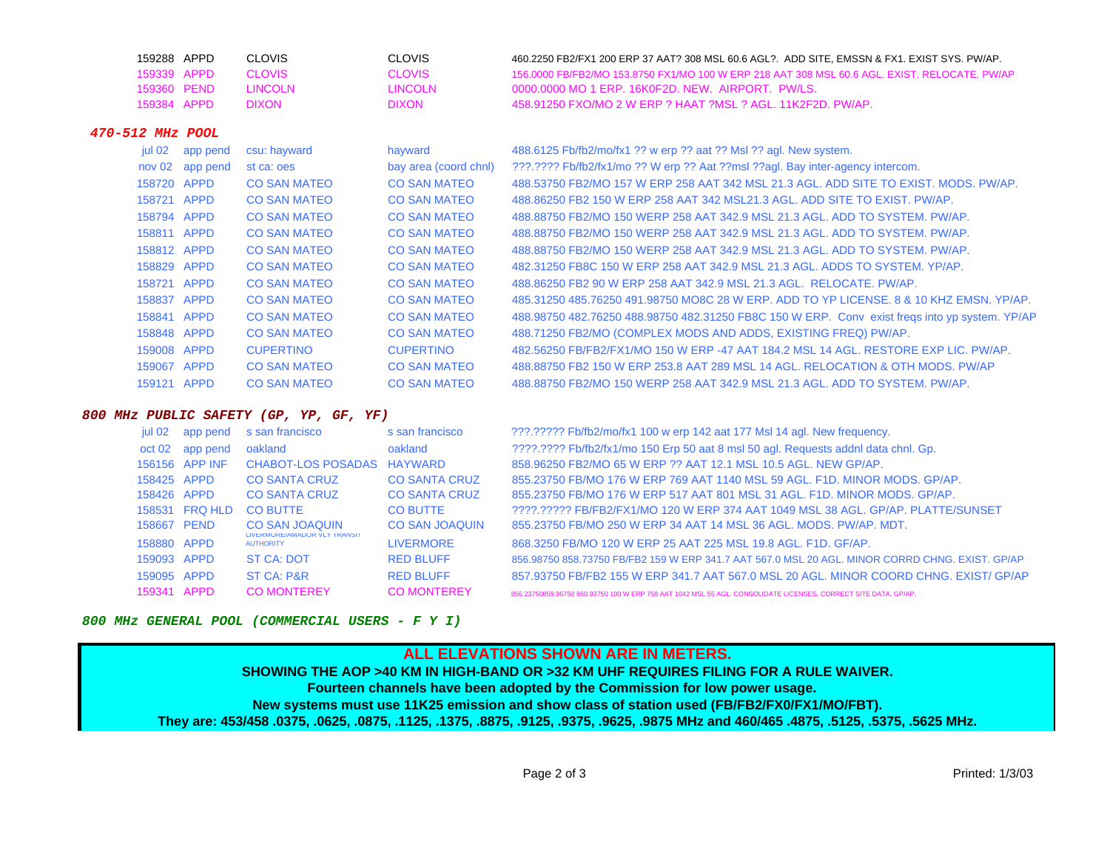| 159288 APPD | CLOVIS       | <b>CLOVIS</b> | .460.2250 FB2/FX1 200 ERP 37 AAT? 308 MSL 60.6 AGL?. ADD SITE. EMSSN & FX1. EXIST SYS. PW/AP  |
|-------------|--------------|---------------|-----------------------------------------------------------------------------------------------|
| 159339 APPD | CI OVIS      | CLOVIS        | 156,0000 FB/FB2/MO 153,8750 FX1/MO 100 W ERP 218 AAT 308 MSL 60.6 AGL. EXIST, RELOCATE, PW/AP |
| 159360 PFND | TINGOLN.     | TINCOLN.      | 0000.0000 MO 1 FRP. 16K0F2D. NEW. AIRPORT. PW/LS.                                             |
| 159384 APPD | <b>DIXON</b> | <b>DIXON</b>  |                                                                                               |

### **470-512 MHz POOL**

| app pend        | csu: hayward        | hayward               | 488.6125 Fb/fb2/mo/fx1 ?? w erp ?? aat ?? Msl ?? agl. New system.                              |
|-----------------|---------------------|-----------------------|------------------------------------------------------------------------------------------------|
| nov 02 app pend | st ca: oes          | bay area (coord chnl) | ???.???? Fb/fb2/fx1/mo ?? W erp ?? Aat ??msl ??agl. Bay inter-agency intercom.                 |
| 158720 APPD     | <b>CO SAN MATEO</b> | <b>CO SAN MATEO</b>   | 488.53750 FB2/MO 157 W ERP 258 AAT 342 MSL 21.3 AGL, ADD SITE TO EXIST, MODS, PW/AP,           |
| 158721 APPD     | <b>CO SAN MATEO</b> | <b>CO SAN MATEO</b>   | 488,86250 FB2 150 W ERP 258 AAT 342 MSL21.3 AGL, ADD SITE TO EXIST, PW/AP.                     |
| 158794 APPD     | <b>CO SAN MATEO</b> | <b>CO SAN MATEO</b>   | 488.88750 FB2/MO 150 WERP 258 AAT 342.9 MSL 21.3 AGL, ADD TO SYSTEM, PW/AP.                    |
| 158811 APPD     | <b>CO SAN MATEO</b> | <b>CO SAN MATEO</b>   | 488.88750 FB2/MO 150 WERP 258 AAT 342.9 MSL 21.3 AGL. ADD TO SYSTEM, PW/AP.                    |
| 158812 APPD     | <b>CO SAN MATEO</b> | <b>CO SAN MATEO</b>   | 488.88750 FB2/MO 150 WERP 258 AAT 342.9 MSL 21.3 AGL. ADD TO SYSTEM, PW/AP.                    |
| 158829 APPD     | <b>CO SAN MATEO</b> | <b>CO SAN MATEO</b>   | 482,31250 FB8C 150 W ERP 258 AAT 342.9 MSL 21.3 AGL, ADDS TO SYSTEM, YP/AP.                    |
| 158721 APPD     | <b>CO SAN MATEO</b> | <b>CO SAN MATEO</b>   | 488.86250 FB2 90 W ERP 258 AAT 342.9 MSL 21.3 AGL. RELOCATE, PW/AP.                            |
| 158837 APPD     | <b>CO SAN MATEO</b> | <b>CO SAN MATEO</b>   | 485,31250 485,76250 491,98750 MO8C 28 W ERP, ADD TO YP LICENSE, 8 & 10 KHZ EMSN, YP/AP,        |
| 158841 APPD     | <b>CO SAN MATEO</b> | <b>CO SAN MATEO</b>   | 488.98750 482.76250 488.98750 482.31250 FB8C 150 W ERP. Conv exist freqs into yp system. YP/AP |
| 158848 APPD     | <b>CO SAN MATEO</b> | <b>CO SAN MATEO</b>   | 488.71250 FB2/MO (COMPLEX MODS AND ADDS, EXISTING FREQ) PW/AP.                                 |
| 159008 APPD     | <b>CUPERTINO</b>    | <b>CUPERTINO</b>      | 482.56250 FB/FB2/FX1/MO 150 W ERP -47 AAT 184.2 MSL 14 AGL, RESTORE EXP LIC, PW/AP,            |
| 159067 APPD     | <b>CO SAN MATEO</b> | <b>CO SAN MATEO</b>   | 488.88750 FB2 150 W ERP 253.8 AAT 289 MSL 14 AGL, RELOCATION & OTH MODS, PW/AP                 |
| 159121 APPD     | <b>CO SAN MATEO</b> | <b>CO SAN MATEO</b>   | 488.88750 FB2/MO 150 WERP 258 AAT 342.9 MSL 21.3 AGL. ADD TO SYSTEM, PW/AP.                    |
|                 |                     |                       |                                                                                                |

#### **800 MHz PUBLIC SAFETY (GP, YP, GF, YF)**

| jul 02      | app pend       | s san francisco                                  | s san francisco       | ???.????? Fb/fb2/mo/fx1 100 w erp 142 aat 177 Msl 14 agl. New frequency.                                        |
|-------------|----------------|--------------------------------------------------|-----------------------|-----------------------------------------------------------------------------------------------------------------|
| oct 02      | app pend       | oakland                                          | oakland               | ????.???? Fb/fb2/fx1/mo 150 Erp 50 aat 8 msl 50 agl. Requests addnl data chnl. Gp.                              |
|             | 156156 APP INF | CHABOT-LOS POSADAS HAYWARD                       |                       | 858.96250 FB2/MO 65 W ERP ?? AAT 12.1 MSL 10.5 AGL. NEW GP/AP.                                                  |
| 158425 APPD |                | <b>CO SANTA CRUZ</b>                             | <b>CO SANTA CRUZ</b>  | 855,23750 FB/MO 176 W ERP 769 AAT 1140 MSL 59 AGL, F1D, MINOR MODS, GP/AP,                                      |
| 158426 APPD |                | <b>CO SANTA CRUZ</b>                             | <b>CO SANTA CRUZ</b>  | 855,23750 FB/MO 176 W ERP 517 AAT 801 MSL 31 AGL, F1D, MINOR MODS, GP/AP,                                       |
|             | 158531 FRQ HLD | <b>CO BUTTE</b>                                  | <b>CO BUTTE</b>       | ????.????? FB/FB2/FX1/MO 120 W ERP 374 AAT 1049 MSL 38 AGL. GP/AP. PLATTE/SUNSET                                |
| 158667 PEND |                | <b>CO SAN JOAQUIN</b>                            | <b>CO SAN JOAQUIN</b> | 855,23750 FB/MO 250 W ERP 34 AAT 14 MSL 36 AGL, MODS, PW/AP, MDT,                                               |
| 158880 APPD |                | LIVERMORE/AMADOR VLY TRANSIT<br><b>AUTHORITY</b> | <b>LIVERMORE</b>      | 868.3250 FB/MO 120 W ERP 25 AAT 225 MSL 19.8 AGL, F1D, GF/AP,                                                   |
| 159093 APPD |                | ST CA: NOT                                       | <b>RED BLUFF</b>      | 856,98750 858,73750 FB/FB2 159 W ERP 341,7 AAT 567.0 MSL 20 AGL, MINOR CORRD CHNG, EXIST, GP/AP                 |
| 159095 APPD |                | <b>ST CA: P&amp;R</b>                            | <b>RED BLUFF</b>      | 857,93750 FB/FB2 155 W ERP 341.7 AAT 567.0 MSL 20 AGL. MINOR COORD CHNG, EXIST/ GP/AP                           |
| 159341 APPD |                | <b>CO MONTEREY</b>                               | <b>CO MONTEREY</b>    | 856.23750859.96750 860.93750 100 W ERP 758 AAT 1042 MSL 55 AGL, CONSOLIDATE LICENSES, CORRECT SITE DATA, GP/AP, |

#### **800 MHz GENERAL POOL (COMMERCIAL USERS - F Y I)**

## **ALL ELEVATIONS SHOWN ARE IN METERS.SHOWING THE AOP >40 KM IN HIGH-BAND OR >32 KM UHF REQUIRES FILING FOR A RULE WAIVER. Fourteen channels have been adopted by the Commission for low power usage. New systems must use 11K25 emission and show class of station used (FB/FB2/FX0/FX1/MO/FBT). They are: 453/458 .0375, .0625, .0875, .1125, .1375, .8875, .9125, .9375, .9625, .9875 MHz and 460/465 .4875, .5125, .5375, .5625 MHz.**